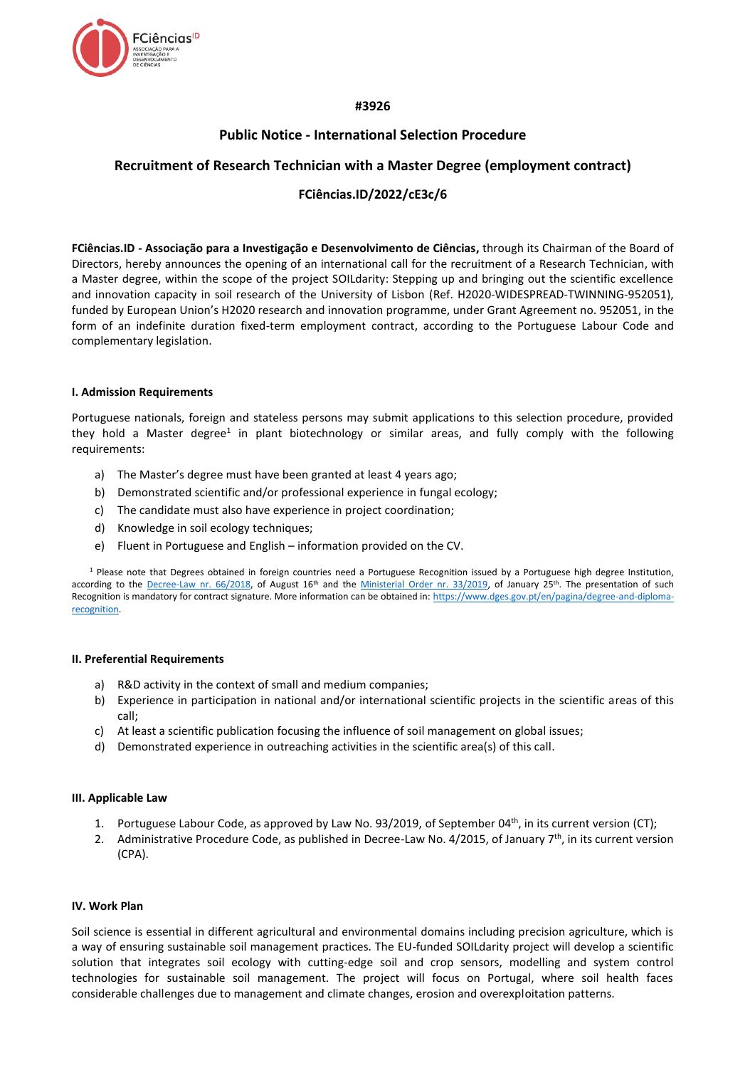

## **#3926**

# **Public Notice - International Selection Procedure**

# **Recruitment of Research Technician with a Master Degree (employment contract)**

# **FCiências.ID/2022/cE3c/6**

**FCiências.ID - Associação para a Investigação e Desenvolvimento de Ciências,** through its Chairman of the Board of Directors, hereby announces the opening of an international call for the recruitment of a Research Technician, with a Master degree, within the scope of the project SOILdarity: Stepping up and bringing out the scientific excellence and innovation capacity in soil research of the University of Lisbon (Ref. H2020-WIDESPREAD-TWINNING-952051), funded by European Union's H2020 research and innovation programme, under Grant Agreement no. 952051, in the form of an indefinite duration fixed-term employment contract, according to the Portuguese Labour Code and complementary legislation.

### **I. Admission Requirements**

Portuguese nationals, foreign and stateless persons may submit applications to this selection procedure, provided they hold a Master degree<sup>1</sup> in plant biotechnology or similar areas, and fully comply with the following requirements:

- a) The Master's degree must have been granted at least 4 years ago;
- b) Demonstrated scientific and/or professional experience in fungal ecology;
- c) The candidate must also have experience in project coordination;
- d) Knowledge in soil ecology techniques;
- e) Fluent in Portuguese and English information provided on the CV.

<sup>1</sup> Please note that Degrees obtained in foreign countries need a Portuguese Recognition issued by a Portuguese high degree Institution, according to the [Decree-Law nr. 66/2018,](https://dre.pt/web/guest/pesquisa/-/search/116068880/details/maximized?res=en) of August 16<sup>th</sup> and the [Ministerial Order nr. 33/2019,](https://dre.pt/web/guest/pesquisa/-/search/118484592/details/normal?q=portaria+33%2F2019) of January 25<sup>th</sup>. The presentation of such Recognition is mandatory for contract signature. More information can be obtained in: [https://www.dges.gov.pt/en/pagina/degree-and-diploma](https://www.dges.gov.pt/en/pagina/degree-and-diploma-recognition)[recognition.](https://www.dges.gov.pt/en/pagina/degree-and-diploma-recognition)

### **II. Preferential Requirements**

- a) R&D activity in the context of small and medium companies;
- b) Experience in participation in national and/or international scientific projects in the scientific areas of this call;
- c) At least a scientific publication focusing the influence of soil management on global issues;
- d) Demonstrated experience in outreaching activities in the scientific area(s) of this call.

### **III. Applicable Law**

- 1. Portuguese Labour Code, as approved by Law No. 93/2019, of September 04<sup>th</sup>, in its current version (CT);
- 2. Administrative Procedure Code, as published in Decree-Law No. 4/2015, of January  $7<sup>th</sup>$ , in its current version (CPA).

### **IV. Work Plan**

Soil science is essential in different agricultural and environmental domains including precision agriculture, which is a way of ensuring sustainable soil management practices. The EU-funded SOILdarity project will develop a scientific solution that integrates soil ecology with cutting-edge soil and crop sensors, modelling and system control technologies for sustainable soil management. The project will focus on Portugal, where soil health faces considerable challenges due to management and climate changes, erosion and overexploitation patterns.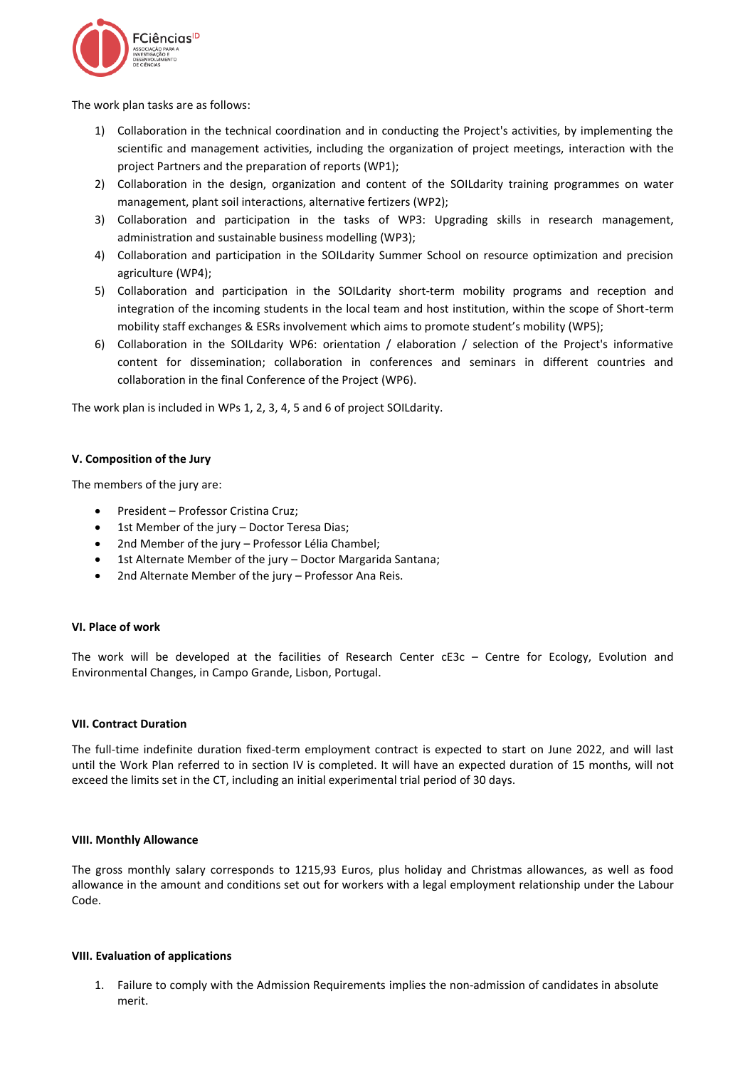

The work plan tasks are as follows:

- 1) Collaboration in the technical coordination and in conducting the Project's activities, by implementing the scientific and management activities, including the organization of project meetings, interaction with the project Partners and the preparation of reports (WP1);
- 2) Collaboration in the design, organization and content of the SOILdarity training programmes on water management, plant soil interactions, alternative fertizers (WP2);
- 3) Collaboration and participation in the tasks of WP3: Upgrading skills in research management, administration and sustainable business modelling (WP3);
- 4) Collaboration and participation in the SOILdarity Summer School on resource optimization and precision agriculture (WP4);
- 5) Collaboration and participation in the SOILdarity short-term mobility programs and reception and integration of the incoming students in the local team and host institution, within the scope of Short-term mobility staff exchanges & ESRs involvement which aims to promote student's mobility (WP5);
- 6) Collaboration in the SOILdarity WP6: orientation / elaboration / selection of the Project's informative content for dissemination; collaboration in conferences and seminars in different countries and collaboration in the final Conference of the Project (WP6).

The work plan is included in WPs 1, 2, 3, 4, 5 and 6 of project SOILdarity.

## **V. Composition of the Jury**

The members of the jury are:

- President Professor Cristina Cruz;
- 1st Member of the jury Doctor Teresa Dias;
- 2nd Member of the jury Professor Lélia Chambel;
- 1st Alternate Member of the jury Doctor Margarida Santana;
- 2nd Alternate Member of the jury Professor Ana Reis.

## **VI. Place of work**

The work will be developed at the facilities of Research Center cE3c - Centre for Ecology, Evolution and Environmental Changes, in Campo Grande, Lisbon, Portugal.

### **VII. Contract Duration**

The full-time indefinite duration fixed-term employment contract is expected to start on June 2022, and will last until the Work Plan referred to in section IV is completed. It will have an expected duration of 15 months, will not exceed the limits set in the CT, including an initial experimental trial period of 30 days.

### **VIII. Monthly Allowance**

The gross monthly salary corresponds to 1215,93 Euros, plus holiday and Christmas allowances, as well as food allowance in the amount and conditions set out for workers with a legal employment relationship under the Labour Code.

### **VIII. Evaluation of applications**

1. Failure to comply with the Admission Requirements implies the non-admission of candidates in absolute merit.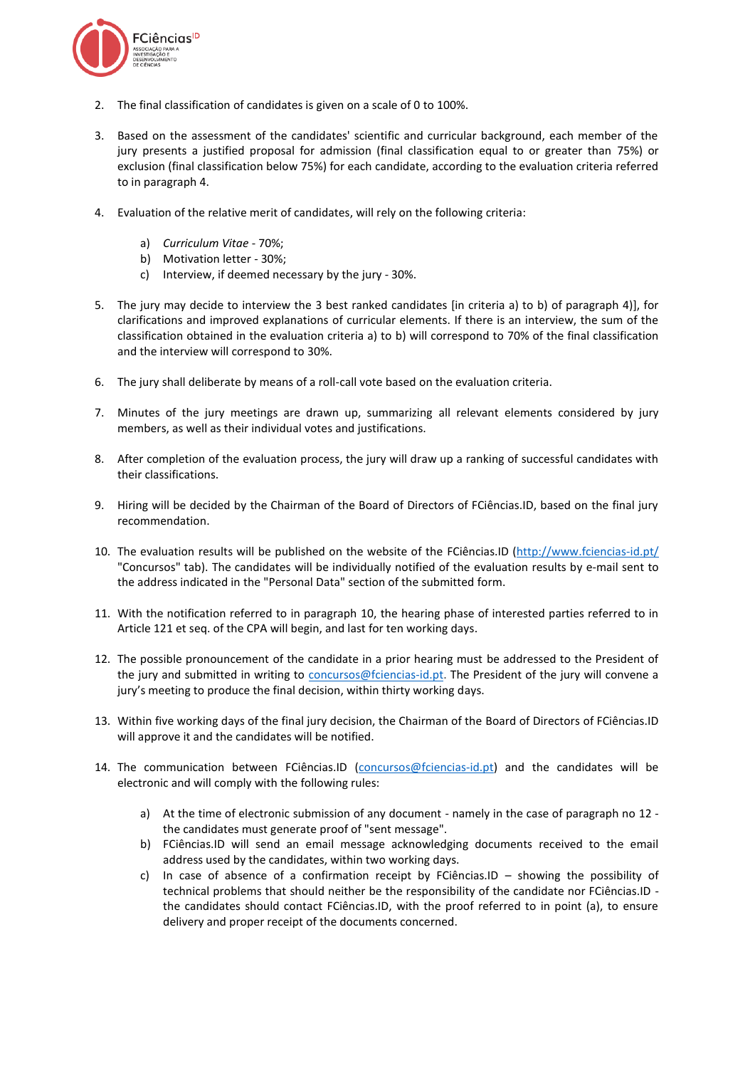

- 2. The final classification of candidates is given on a scale of 0 to 100%.
- 3. Based on the assessment of the candidates' scientific and curricular background, each member of the jury presents a justified proposal for admission (final classification equal to or greater than 75%) or exclusion (final classification below 75%) for each candidate, according to the evaluation criteria referred to in paragraph 4.
- 4. Evaluation of the relative merit of candidates, will rely on the following criteria:
	- a) *Curriculum Vitae* 70%;
	- b) Motivation letter 30%;
	- c) Interview, if deemed necessary by the jury 30%.
- 5. The jury may decide to interview the 3 best ranked candidates [in criteria a) to b) of paragraph 4)], for clarifications and improved explanations of curricular elements. If there is an interview, the sum of the classification obtained in the evaluation criteria a) to b) will correspond to 70% of the final classification and the interview will correspond to 30%.
- 6. The jury shall deliberate by means of a roll-call vote based on the evaluation criteria.
- 7. Minutes of the jury meetings are drawn up, summarizing all relevant elements considered by jury members, as well as their individual votes and justifications.
- 8. After completion of the evaluation process, the jury will draw up a ranking of successful candidates with their classifications.
- 9. Hiring will be decided by the Chairman of the Board of Directors of FCiências.ID, based on the final jury recommendation.
- 10. The evaluation results will be published on the website of the FCiências.ID [\(http://www.fciencias-id.pt/](http://www.fciencias-id.pt/) "Concursos" tab). The candidates will be individually notified of the evaluation results by e-mail sent to the address indicated in the "Personal Data" section of the submitted form.
- 11. With the notification referred to in paragraph 10, the hearing phase of interested parties referred to in Article 121 et seq. of the CPA will begin, and last for ten working days.
- 12. The possible pronouncement of the candidate in a prior hearing must be addressed to the President of the jury and submitted in writing to [concursos@fciencias-id.pt.](mailto:concursos@fciencias-id.pt) The President of the jury will convene a jury's meeting to produce the final decision, within thirty working days.
- 13. Within five working days of the final jury decision, the Chairman of the Board of Directors of FCiências.ID will approve it and the candidates will be notified.
- 14. The communication between FCiências.ID [\(concursos@fciencias-id.pt\)](mailto:concursos@fciencias-id.pt) and the candidates will be electronic and will comply with the following rules:
	- a) At the time of electronic submission of any document namely in the case of paragraph no 12 the candidates must generate proof of "sent message".
	- b) FCiências.ID will send an email message acknowledging documents received to the email address used by the candidates, within two working days.
	- c) In case of absence of a confirmation receipt by FCiências.ID showing the possibility of technical problems that should neither be the responsibility of the candidate nor FCiências.ID the candidates should contact FCiências.ID, with the proof referred to in point (a), to ensure delivery and proper receipt of the documents concerned.